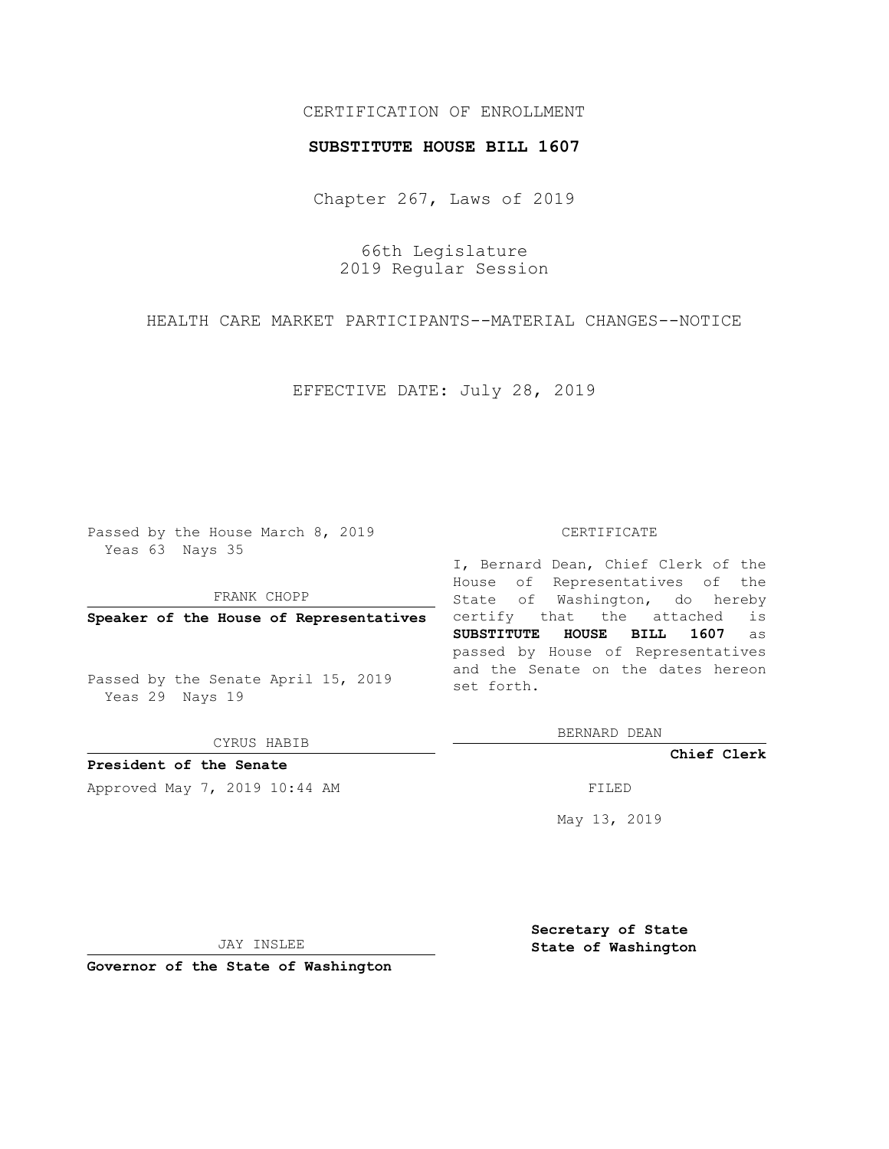## CERTIFICATION OF ENROLLMENT

## **SUBSTITUTE HOUSE BILL 1607**

Chapter 267, Laws of 2019

66th Legislature 2019 Regular Session

HEALTH CARE MARKET PARTICIPANTS--MATERIAL CHANGES--NOTICE

EFFECTIVE DATE: July 28, 2019

Passed by the House March 8, 2019 Yeas 63 Nays 35

FRANK CHOPP

**Speaker of the House of Representatives**

Passed by the Senate April 15, 2019 Yeas 29 Nays 19

CYRUS HABIB

**President of the Senate**

Approved May 7, 2019 10:44 AM FILED

## CERTIFICATE

I, Bernard Dean, Chief Clerk of the House of Representatives of the State of Washington, do hereby certify that the attached is **SUBSTITUTE HOUSE BILL 1607** as passed by House of Representatives and the Senate on the dates hereon set forth.

BERNARD DEAN

**Chief Clerk**

May 13, 2019

JAY INSLEE

**Governor of the State of Washington**

**Secretary of State State of Washington**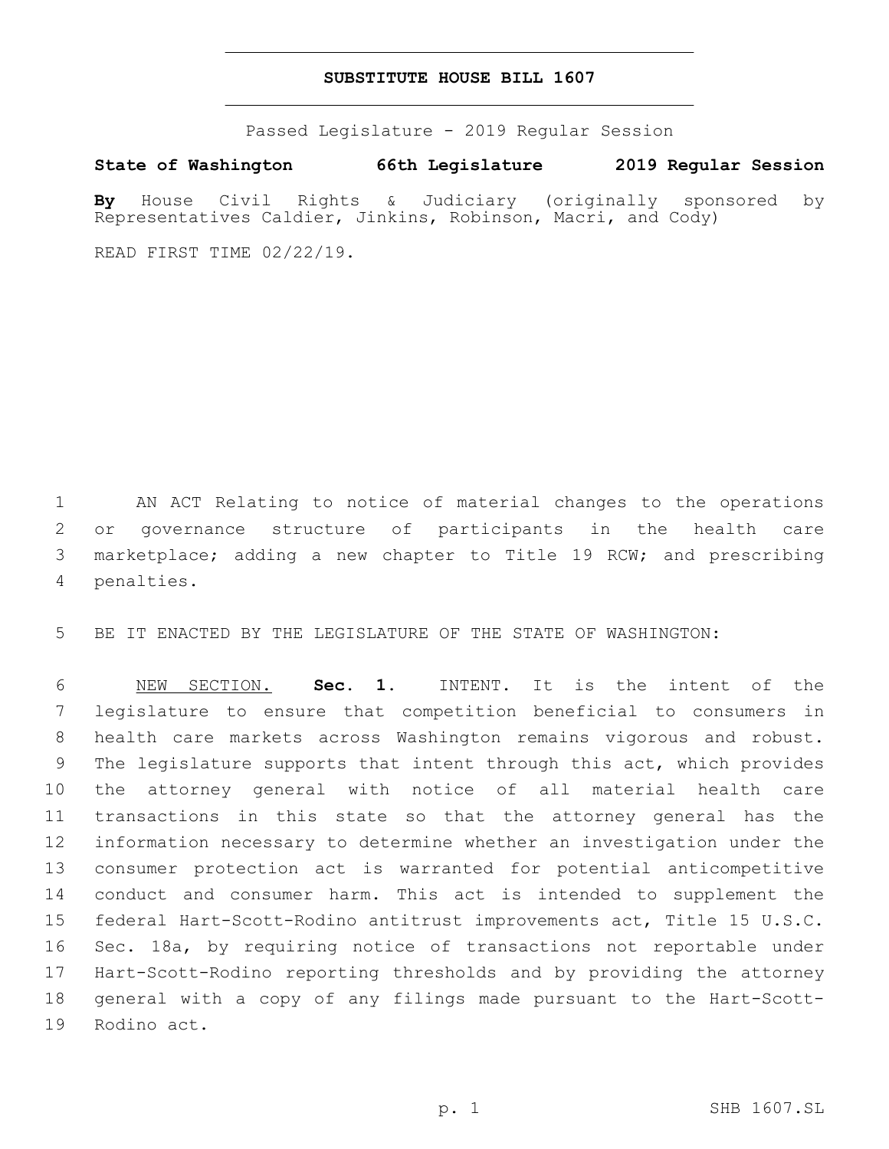## **SUBSTITUTE HOUSE BILL 1607**

Passed Legislature - 2019 Regular Session

**State of Washington 66th Legislature 2019 Regular Session**

**By** House Civil Rights & Judiciary (originally sponsored by Representatives Caldier, Jinkins, Robinson, Macri, and Cody)

READ FIRST TIME 02/22/19.

 AN ACT Relating to notice of material changes to the operations or governance structure of participants in the health care marketplace; adding a new chapter to Title 19 RCW; and prescribing 4 penalties.

BE IT ENACTED BY THE LEGISLATURE OF THE STATE OF WASHINGTON:

 NEW SECTION. **Sec. 1.** INTENT. It is the intent of the legislature to ensure that competition beneficial to consumers in health care markets across Washington remains vigorous and robust. The legislature supports that intent through this act, which provides the attorney general with notice of all material health care transactions in this state so that the attorney general has the information necessary to determine whether an investigation under the consumer protection act is warranted for potential anticompetitive conduct and consumer harm. This act is intended to supplement the federal Hart-Scott-Rodino antitrust improvements act, Title 15 U.S.C. Sec. 18a, by requiring notice of transactions not reportable under Hart-Scott-Rodino reporting thresholds and by providing the attorney general with a copy of any filings made pursuant to the Hart-Scott-Rodino act.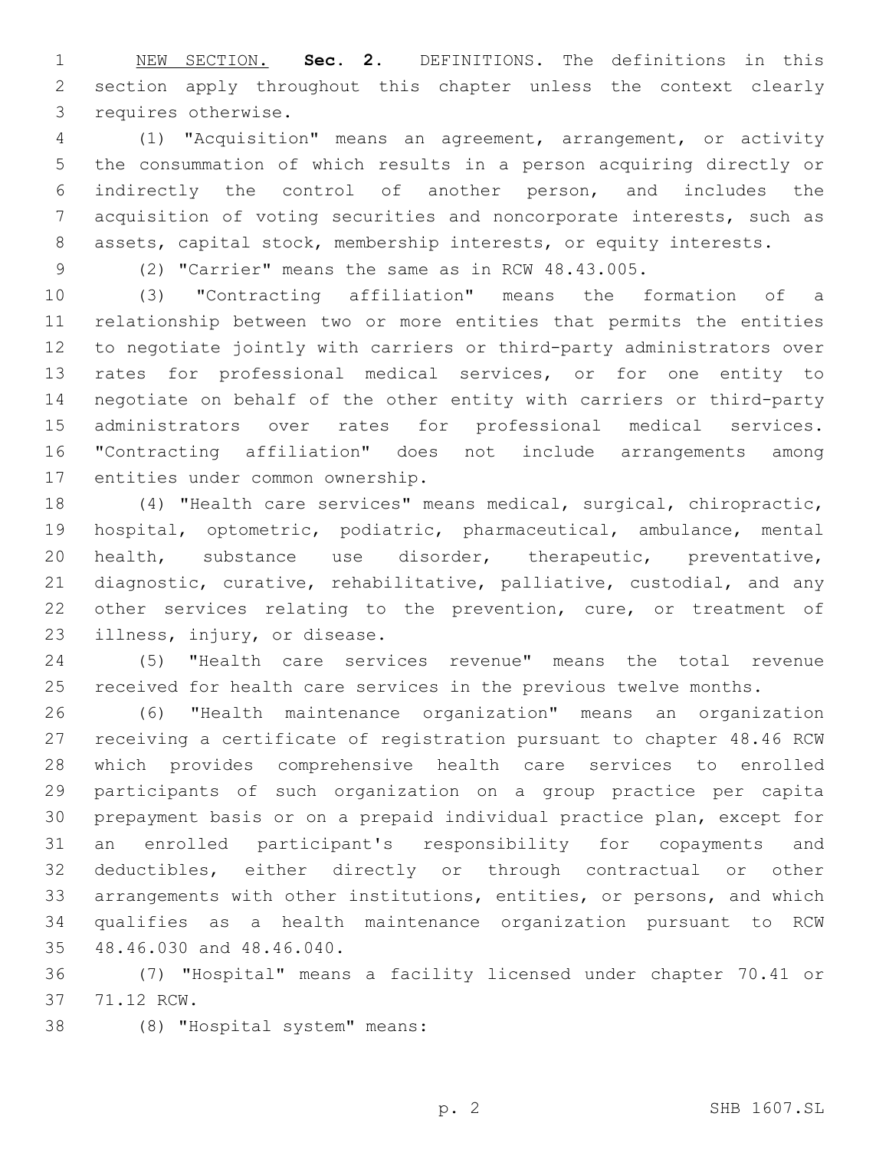NEW SECTION. **Sec. 2.** DEFINITIONS. The definitions in this section apply throughout this chapter unless the context clearly requires otherwise.

 (1) "Acquisition" means an agreement, arrangement, or activity the consummation of which results in a person acquiring directly or indirectly the control of another person, and includes the acquisition of voting securities and noncorporate interests, such as 8 assets, capital stock, membership interests, or equity interests.

(2) "Carrier" means the same as in RCW 48.43.005.

 (3) "Contracting affiliation" means the formation of a relationship between two or more entities that permits the entities to negotiate jointly with carriers or third-party administrators over rates for professional medical services, or for one entity to negotiate on behalf of the other entity with carriers or third-party administrators over rates for professional medical services. "Contracting affiliation" does not include arrangements among 17 entities under common ownership.

 (4) "Health care services" means medical, surgical, chiropractic, hospital, optometric, podiatric, pharmaceutical, ambulance, mental health, substance use disorder, therapeutic, preventative, diagnostic, curative, rehabilitative, palliative, custodial, and any 22 other services relating to the prevention, cure, or treatment of 23 illness, injury, or disease.

 (5) "Health care services revenue" means the total revenue received for health care services in the previous twelve months.

 (6) "Health maintenance organization" means an organization receiving a certificate of registration pursuant to chapter 48.46 RCW which provides comprehensive health care services to enrolled participants of such organization on a group practice per capita prepayment basis or on a prepaid individual practice plan, except for an enrolled participant's responsibility for copayments and deductibles, either directly or through contractual or other arrangements with other institutions, entities, or persons, and which qualifies as a health maintenance organization pursuant to RCW 35 48.46.030 and 48.46.040.

 (7) "Hospital" means a facility licensed under chapter 70.41 or 37 71.12 RCW.

(8) "Hospital system" means:38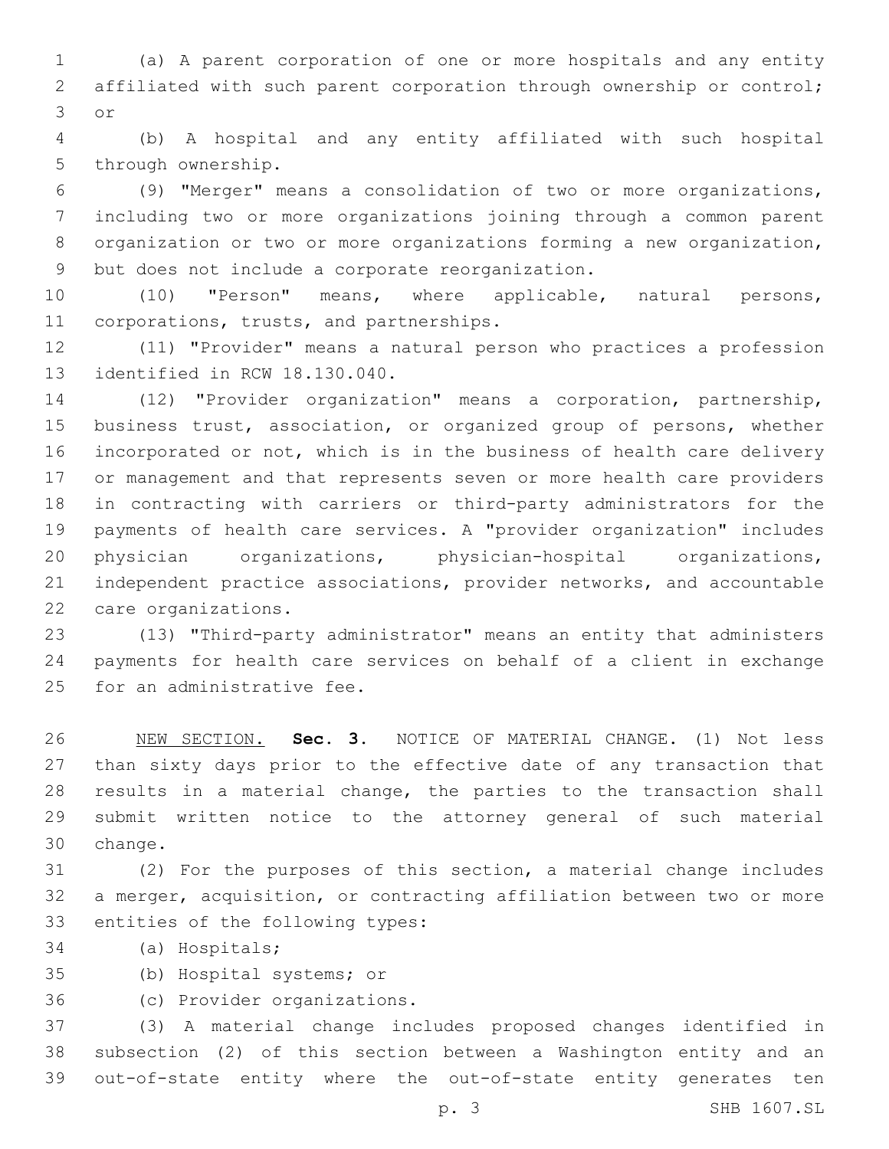(a) A parent corporation of one or more hospitals and any entity 2 affiliated with such parent corporation through ownership or control; 3 or

 (b) A hospital and any entity affiliated with such hospital 5 through ownership.

 (9) "Merger" means a consolidation of two or more organizations, including two or more organizations joining through a common parent organization or two or more organizations forming a new organization, 9 but does not include a corporate reorganization.

 (10) "Person" means, where applicable, natural persons, 11 corporations, trusts, and partnerships.

 (11) "Provider" means a natural person who practices a profession 13 identified in RCW 18.130.040.

 (12) "Provider organization" means a corporation, partnership, business trust, association, or organized group of persons, whether incorporated or not, which is in the business of health care delivery or management and that represents seven or more health care providers in contracting with carriers or third-party administrators for the payments of health care services. A "provider organization" includes physician organizations, physician-hospital organizations, independent practice associations, provider networks, and accountable 22 care organizations.

 (13) "Third-party administrator" means an entity that administers payments for health care services on behalf of a client in exchange 25 for an administrative fee.

 NEW SECTION. **Sec. 3.** NOTICE OF MATERIAL CHANGE. (1) Not less than sixty days prior to the effective date of any transaction that results in a material change, the parties to the transaction shall submit written notice to the attorney general of such material change.

 (2) For the purposes of this section, a material change includes a merger, acquisition, or contracting affiliation between two or more 33 entities of the following types:

- 34 (a) Hospitals;
- 35 (b) Hospital systems; or

(c) Provider organizations.36

 (3) A material change includes proposed changes identified in subsection (2) of this section between a Washington entity and an out-of-state entity where the out-of-state entity generates ten

p. 3 SHB 1607.SL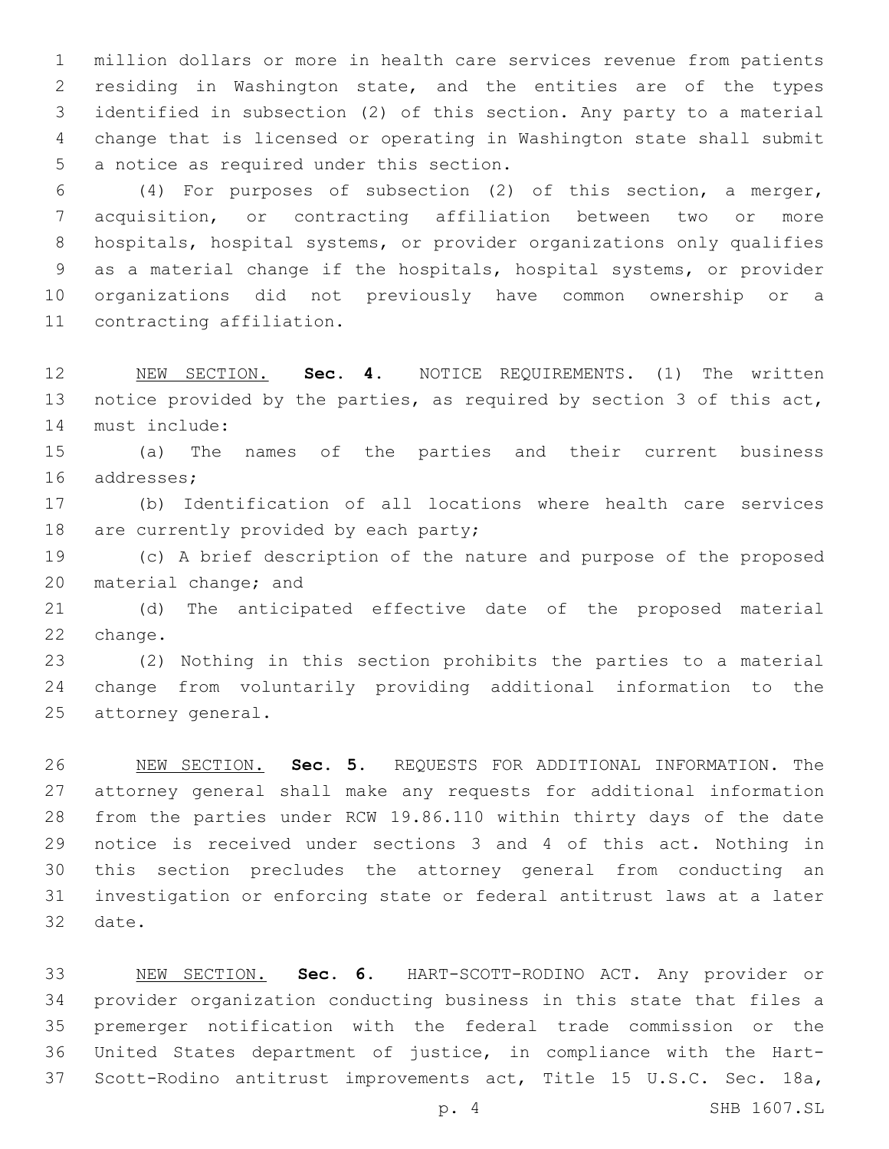million dollars or more in health care services revenue from patients residing in Washington state, and the entities are of the types identified in subsection (2) of this section. Any party to a material change that is licensed or operating in Washington state shall submit 5 a notice as required under this section.

 (4) For purposes of subsection (2) of this section, a merger, acquisition, or contracting affiliation between two or more hospitals, hospital systems, or provider organizations only qualifies as a material change if the hospitals, hospital systems, or provider organizations did not previously have common ownership or a 11 contracting affiliation.

 NEW SECTION. **Sec. 4.** NOTICE REQUIREMENTS. (1) The written notice provided by the parties, as required by section 3 of this act, must include:

 (a) The names of the parties and their current business 16 addresses;

 (b) Identification of all locations where health care services 18 are currently provided by each party;

 (c) A brief description of the nature and purpose of the proposed 20 material change; and

 (d) The anticipated effective date of the proposed material 22 change.

 (2) Nothing in this section prohibits the parties to a material change from voluntarily providing additional information to the 25 attorney general.

 NEW SECTION. **Sec. 5.** REQUESTS FOR ADDITIONAL INFORMATION. The attorney general shall make any requests for additional information from the parties under RCW 19.86.110 within thirty days of the date notice is received under sections 3 and 4 of this act. Nothing in this section precludes the attorney general from conducting an investigation or enforcing state or federal antitrust laws at a later date.

 NEW SECTION. **Sec. 6.** HART-SCOTT-RODINO ACT. Any provider or provider organization conducting business in this state that files a premerger notification with the federal trade commission or the United States department of justice, in compliance with the Hart-Scott-Rodino antitrust improvements act, Title 15 U.S.C. Sec. 18a,